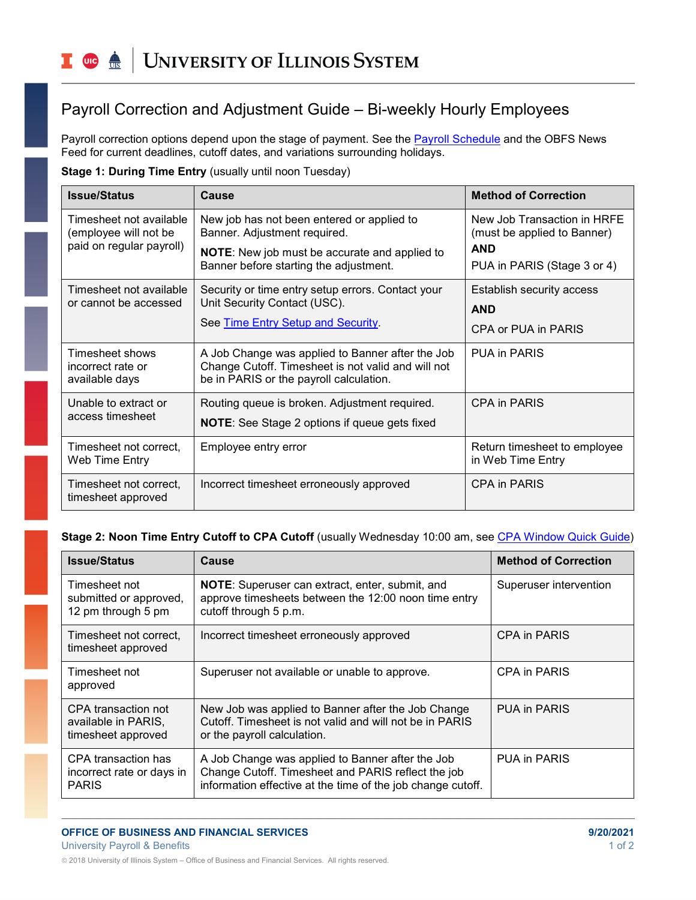# Payroll Correction and Adjustment Guide – Bi-weekly Hourly Employees

Payroll correction options depend upon the stage of payment. See the [Payroll Schedule](https://www.obfs.uillinois.edu/payroll/schedules/) and the OBFS News Feed for current deadlines, cutoff dates, and variations surrounding holidays.

## **Stage 1: During Time Entry** (usually until noon Tuesday)

| <b>Issue/Status</b>                                                          | Cause                                                                                                                                             | <b>Method of Correction</b>                                |
|------------------------------------------------------------------------------|---------------------------------------------------------------------------------------------------------------------------------------------------|------------------------------------------------------------|
| Timesheet not available<br>(employee will not be<br>paid on regular payroll) | New job has not been entered or applied to<br>Banner. Adjustment required.                                                                        | New Job Transaction in HRFE<br>(must be applied to Banner) |
|                                                                              | <b>NOTE:</b> New job must be accurate and applied to<br>Banner before starting the adjustment.                                                    | <b>AND</b><br>PUA in PARIS (Stage 3 or 4)                  |
| Timesheet not available<br>or cannot be accessed                             | Security or time entry setup errors. Contact your<br>Unit Security Contact (USC).                                                                 | <b>Establish security access</b>                           |
|                                                                              |                                                                                                                                                   | <b>AND</b>                                                 |
|                                                                              | See Time Entry Setup and Security.                                                                                                                | CPA or PUA in PARIS                                        |
| Timesheet shows<br>incorrect rate or<br>available days                       | A Job Change was applied to Banner after the Job<br>Change Cutoff. Timesheet is not valid and will not<br>be in PARIS or the payroll calculation. | PUA in PARIS                                               |
| Unable to extract or<br>access timesheet                                     | Routing queue is broken. Adjustment required.                                                                                                     | CPA in PARIS                                               |
|                                                                              | <b>NOTE:</b> See Stage 2 options if queue gets fixed                                                                                              |                                                            |
| Timesheet not correct.<br>Web Time Entry                                     | Employee entry error                                                                                                                              | Return timesheet to employee<br>in Web Time Entry          |
| Timesheet not correct.<br>timesheet approved                                 | Incorrect timesheet erroneously approved                                                                                                          | <b>CPA in PARIS</b>                                        |

#### **Stage 2: Noon Time Entry Cutoff to CPA Cutoff** (usually Wednesday 10:00 am, see [CPA Window Quick Guide\)](https://www.obfs.uillinois.edu/common/pages/DisplayFile.aspx?itemId=253260)

| <b>Issue/Status</b>                                              | Cause                                                                                                                                                                 | <b>Method of Correction</b> |
|------------------------------------------------------------------|-----------------------------------------------------------------------------------------------------------------------------------------------------------------------|-----------------------------|
| Timesheet not<br>submitted or approved,<br>12 pm through 5 pm    | NOTE: Superuser can extract, enter, submit, and<br>approve timesheets between the 12:00 noon time entry<br>cutoff through 5 p.m.                                      | Superuser intervention      |
| Timesheet not correct.<br>timesheet approved                     | Incorrect timesheet erroneously approved                                                                                                                              | CPA in PARIS                |
| Timesheet not<br>approved                                        | Superuser not available or unable to approve.                                                                                                                         | <b>CPA in PARIS</b>         |
| CPA transaction not<br>available in PARIS,<br>timesheet approved | New Job was applied to Banner after the Job Change<br>Cutoff. Timesheet is not valid and will not be in PARIS<br>or the payroll calculation.                          | <b>PUA in PARIS</b>         |
| CPA transaction has<br>incorrect rate or days in<br><b>PARIS</b> | A Job Change was applied to Banner after the Job<br>Change Cutoff. Timesheet and PARIS reflect the job<br>information effective at the time of the job change cutoff. | <b>PUA in PARIS</b>         |